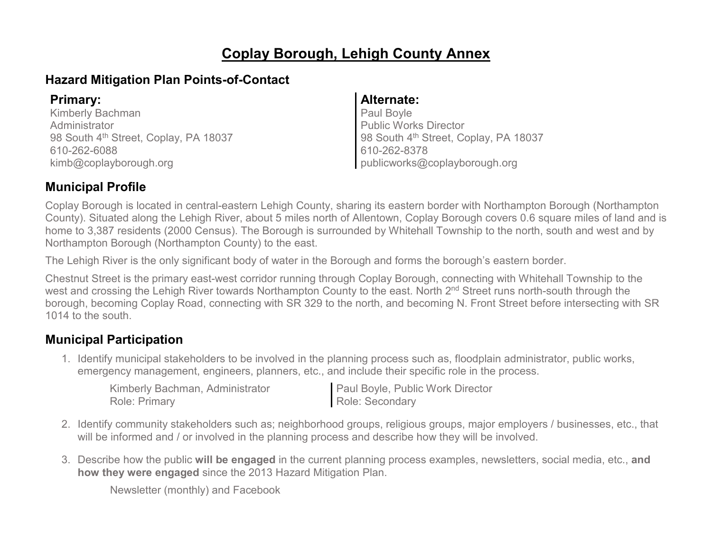## **Coplay Borough, Lehigh County Annex**

### **Hazard Mitigation Plan Points-of-Contact**

Kimberly Bachman **Administrator** 98 South 4<sup>th</sup> Street, Coplay, PA 18037 610-262-6088 [kimb@coplayborough.org](mailto:kimb@coplayborough.org)

#### **Primary: Alternate:**

Paul Boyle Public Works Director 98 South 4<sup>th</sup> Street, Coplay, PA 18037 610-262-8378 publicworks@coplayborough.org

### **Municipal Profile**

Coplay Borough is located in central-eastern Lehigh County, sharing its eastern border with Northampton Borough (Northampton County). Situated along the Lehigh River, about 5 miles north of Allentown, Coplay Borough covers 0.6 square miles of land and is home to 3,387 residents (2000 Census). The Borough is surrounded by Whitehall Township to the north, south and west and by Northampton Borough (Northampton County) to the east.

The Lehigh River is the only significant body of water in the Borough and forms the borough's eastern border.

Chestnut Street is the primary east-west corridor running through Coplay Borough, connecting with Whitehall Township to the west and crossing the Lehigh River towards Northampton County to the east. North 2<sup>nd</sup> Street runs north-south through the borough, becoming Coplay Road, connecting with SR 329 to the north, and becoming N. Front Street before intersecting with SR 1014 to the south.

### **Municipal Participation**

1. Identify municipal stakeholders to be involved in the planning process such as, floodplain administrator, public works, emergency management, engineers, planners, etc., and include their specific role in the process.

Kimberly Bachman, Administrator Role: Primary

Paul Boyle, Public Work Director Role: Secondary

- 2. Identify community stakeholders such as; neighborhood groups, religious groups, major employers / businesses, etc., that will be informed and / or involved in the planning process and describe how they will be involved.
- 3. Describe how the public **will be engaged** in the current planning process examples, newsletters, social media, etc., **and how they were engaged** since the 2013 Hazard Mitigation Plan.

Newsletter (monthly) and Facebook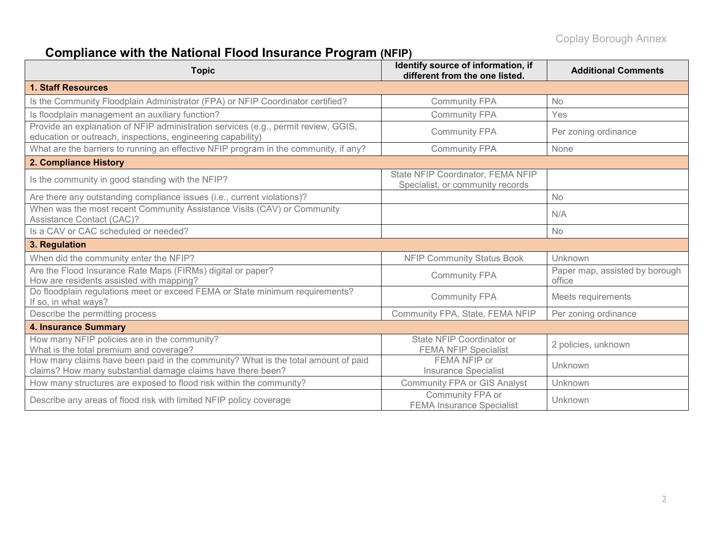# **Compliance with the National Flood Insurance Program (NFIP)**

| <b>Topic</b>                                                                                                                                      | Identify source of information, if<br>different from the one listed.  | <b>Additional Comments</b>               |  |
|---------------------------------------------------------------------------------------------------------------------------------------------------|-----------------------------------------------------------------------|------------------------------------------|--|
| <b>1. Staff Resources</b>                                                                                                                         |                                                                       |                                          |  |
| Is the Community Floodplain Administrator (FPA) or NFIP Coordinator certified?                                                                    | <b>Community FPA</b>                                                  | <b>No</b>                                |  |
| Is floodplain management an auxiliary function?                                                                                                   | <b>Community FPA</b>                                                  | Yes                                      |  |
| Provide an explanation of NFIP administration services (e.g., permit review, GGIS,<br>education or outreach, inspections, engineering capability) | <b>Community FPA</b>                                                  | Per zoning ordinance                     |  |
| What are the barriers to running an effective NFIP program in the community, if any?                                                              | <b>Community FPA</b>                                                  | None                                     |  |
| 2. Compliance History                                                                                                                             |                                                                       |                                          |  |
| Is the community in good standing with the NFIP?                                                                                                  | State NFIP Coordinator, FEMA NFIP<br>Specialist, or community records |                                          |  |
| Are there any outstanding compliance issues (i.e., current violations)?                                                                           |                                                                       | No                                       |  |
| When was the most recent Community Assistance Visits (CAV) or Community<br><b>Assistance Contact (CAC)?</b>                                       |                                                                       | N/A                                      |  |
| Is a CAV or CAC scheduled or needed?                                                                                                              |                                                                       | <b>No</b>                                |  |
| 3. Regulation                                                                                                                                     |                                                                       |                                          |  |
| When did the community enter the NFIP?                                                                                                            | <b>NFIP Community Status Book</b>                                     | Unknown                                  |  |
| Are the Flood Insurance Rate Maps (FIRMs) digital or paper?<br>How are residents assisted with mapping?                                           | <b>Community FPA</b>                                                  | Paper map, assisted by borough<br>office |  |
| Do floodplain regulations meet or exceed FEMA or State minimum requirements?<br>If so, in what ways?                                              | <b>Community FPA</b>                                                  | Meets requirements                       |  |
| Describe the permitting process                                                                                                                   | Community FPA, State, FEMA NFIP                                       | Per zoning ordinance                     |  |
| <b>4. Insurance Summary</b>                                                                                                                       |                                                                       |                                          |  |
| How many NFIP policies are in the community?<br>What is the total premium and coverage?                                                           | State NFIP Coordinator or<br><b>FEMA NFIP Specialist</b>              | 2 policies, unknown                      |  |
| How many claims have been paid in the community? What is the total amount of paid<br>claims? How many substantial damage claims have there been?  | FEMA NFIP or<br><b>Insurance Specialist</b>                           | Unknown                                  |  |
| How many structures are exposed to flood risk within the community?                                                                               | <b>Community FPA or GIS Analyst</b>                                   | Unknown                                  |  |
| Describe any areas of flood risk with limited NFIP policy coverage                                                                                | Community FPA or<br><b>FEMA Insurance Specialist</b>                  | Unknown                                  |  |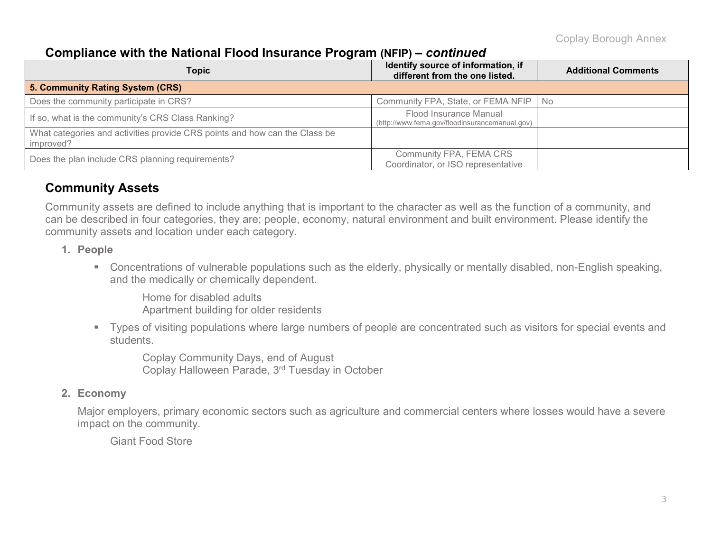### **Compliance with the National Flood Insurance Program (NFIP) –** *continued*

| Topic                                                                                   | Identify source of information, if<br>different from the one listed.     | <b>Additional Comments</b> |
|-----------------------------------------------------------------------------------------|--------------------------------------------------------------------------|----------------------------|
| 5. Community Rating System (CRS)                                                        |                                                                          |                            |
| Does the community participate in CRS?                                                  | Community FPA, State, or FEMA NFIP   No                                  |                            |
| If so, what is the community's CRS Class Ranking?                                       | Flood Insurance Manual<br>(http://www.fema.gov/floodinsurancemanual.gov) |                            |
| What categories and activities provide CRS points and how can the Class be<br>improved? |                                                                          |                            |
| Does the plan include CRS planning requirements?                                        | Community FPA, FEMA CRS<br>Coordinator, or ISO representative            |                            |

### **Community Assets**

Community assets are defined to include anything that is important to the character as well as the function of a community, and can be described in four categories, they are; people, economy, natural environment and built environment. Please identify the community assets and location under each category.

#### **1. People**

 Concentrations of vulnerable populations such as the elderly, physically or mentally disabled, non-English speaking, and the medically or chemically dependent.

Home for disabled adults Apartment building for older residents

 Types of visiting populations where large numbers of people are concentrated such as visitors for special events and students.

Coplay Community Days, end of August Coplay Halloween Parade, 3rd Tuesday in October

#### **2. Economy**

Major employers, primary economic sectors such as agriculture and commercial centers where losses would have a severe impact on the community.

Giant Food Store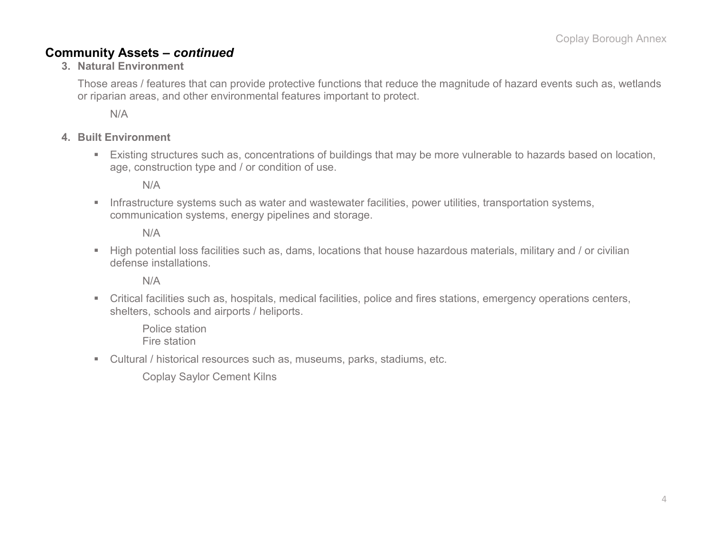### **Community Assets –** *continued*

**3. Natural Environment**

Those areas / features that can provide protective functions that reduce the magnitude of hazard events such as, wetlands or riparian areas, and other environmental features important to protect.

N/A

#### **4. Built Environment**

 Existing structures such as, concentrations of buildings that may be more vulnerable to hazards based on location, age, construction type and / or condition of use.

N/A

**Infrastructure systems such as water and wastewater facilities, power utilities, transportation systems,** communication systems, energy pipelines and storage.

N/A

 High potential loss facilities such as, dams, locations that house hazardous materials, military and / or civilian defense installations.

N/A

 Critical facilities such as, hospitals, medical facilities, police and fires stations, emergency operations centers, shelters, schools and airports / heliports.

Police station Fire station

Cultural / historical resources such as, museums, parks, stadiums, etc.

Coplay Saylor Cement Kilns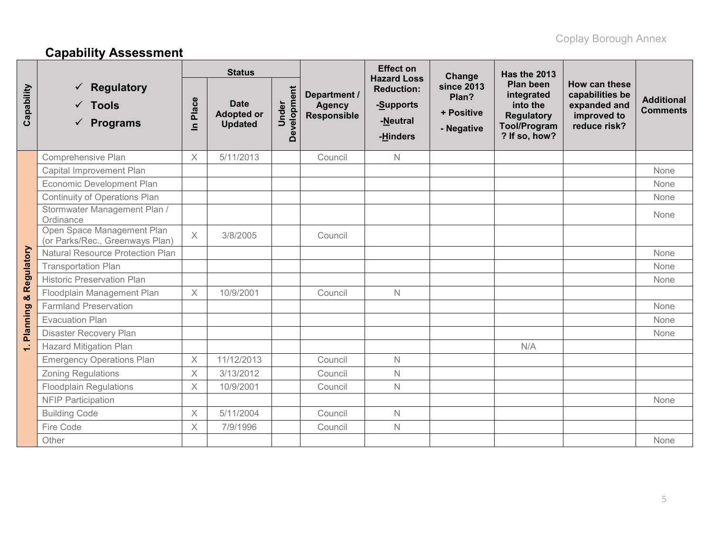# **Capability Assessment**

|                                  |                                                               | <b>Status</b>         |                                                    |                      |                                                     | <b>Effect on</b><br><b>Hazard Loss</b>                 | Change                                          | Has the 2013                                                                                            |                                                                                 |                                      |
|----------------------------------|---------------------------------------------------------------|-----------------------|----------------------------------------------------|----------------------|-----------------------------------------------------|--------------------------------------------------------|-------------------------------------------------|---------------------------------------------------------------------------------------------------------|---------------------------------------------------------------------------------|--------------------------------------|
| Capability                       | <b>Regulatory</b><br>$\checkmark$ Tools<br><b>Programs</b>    | Place<br>$\mathbf{C}$ | <b>Date</b><br><b>Adopted or</b><br><b>Updated</b> | Development<br>Under | Department /<br><b>Agency</b><br><b>Responsible</b> | <b>Reduction:</b><br>-Supports<br>-Neutral<br>-Hinders | since 2013<br>Plan?<br>+ Positive<br>- Negative | <b>Plan been</b><br>integrated<br>into the<br><b>Regulatory</b><br><b>Tool/Program</b><br>? If so, how? | How can these<br>capabilities be<br>expanded and<br>improved to<br>reduce risk? | <b>Additional</b><br><b>Comments</b> |
|                                  | Comprehensive Plan                                            | $\times$              | 5/11/2013                                          |                      | Council                                             | $\mathbb N$                                            |                                                 |                                                                                                         |                                                                                 |                                      |
|                                  | Capital Improvement Plan                                      |                       |                                                    |                      |                                                     |                                                        |                                                 |                                                                                                         |                                                                                 | None                                 |
|                                  | Economic Development Plan                                     |                       |                                                    |                      |                                                     |                                                        |                                                 |                                                                                                         |                                                                                 | None                                 |
|                                  | Continuity of Operations Plan                                 |                       |                                                    |                      |                                                     |                                                        |                                                 |                                                                                                         |                                                                                 | None                                 |
| <b>Planning &amp; Regulatory</b> | Stormwater Management Plan /<br>Ordinance                     |                       |                                                    |                      |                                                     |                                                        |                                                 |                                                                                                         |                                                                                 | None                                 |
|                                  | Open Space Management Plan<br>(or Parks/Rec., Greenways Plan) | X                     | 3/8/2005                                           |                      | Council                                             |                                                        |                                                 |                                                                                                         |                                                                                 |                                      |
|                                  | Natural Resource Protection Plan                              |                       |                                                    |                      |                                                     |                                                        |                                                 |                                                                                                         |                                                                                 | None                                 |
|                                  | <b>Transportation Plan</b>                                    |                       |                                                    |                      |                                                     |                                                        |                                                 |                                                                                                         |                                                                                 | None                                 |
|                                  | <b>Historic Preservation Plan</b>                             |                       |                                                    |                      |                                                     |                                                        |                                                 |                                                                                                         |                                                                                 | None                                 |
|                                  | Floodplain Management Plan                                    | $\times$              | 10/9/2001                                          |                      | Council                                             | $\mathbb N$                                            |                                                 |                                                                                                         |                                                                                 |                                      |
|                                  | <b>Farmland Preservation</b>                                  |                       |                                                    |                      |                                                     |                                                        |                                                 |                                                                                                         |                                                                                 | None                                 |
|                                  | <b>Evacuation Plan</b>                                        |                       |                                                    |                      |                                                     |                                                        |                                                 |                                                                                                         |                                                                                 | None                                 |
|                                  | Disaster Recovery Plan                                        |                       |                                                    |                      |                                                     |                                                        |                                                 |                                                                                                         |                                                                                 | None                                 |
| $\leftarrow$                     | <b>Hazard Mitigation Plan</b>                                 |                       |                                                    |                      |                                                     |                                                        |                                                 | N/A                                                                                                     |                                                                                 |                                      |
|                                  | <b>Emergency Operations Plan</b>                              | $\times$              | 11/12/2013                                         |                      | Council                                             | $\mathbb N$                                            |                                                 |                                                                                                         |                                                                                 |                                      |
|                                  | Zoning Regulations                                            | $\times$              | 3/13/2012                                          |                      | Council                                             | $\mathbb N$                                            |                                                 |                                                                                                         |                                                                                 |                                      |
|                                  | <b>Floodplain Regulations</b>                                 | $\times$              | 10/9/2001                                          |                      | Council                                             | $\mathbb N$                                            |                                                 |                                                                                                         |                                                                                 |                                      |
|                                  | <b>NFIP Participation</b>                                     |                       |                                                    |                      |                                                     |                                                        |                                                 |                                                                                                         |                                                                                 | None                                 |
|                                  | <b>Building Code</b>                                          | X                     | 5/11/2004                                          |                      | Council                                             | $\mathbb N$                                            |                                                 |                                                                                                         |                                                                                 |                                      |
|                                  | Fire Code                                                     | $\times$              | 7/9/1996                                           |                      | Council                                             | $\mathbb N$                                            |                                                 |                                                                                                         |                                                                                 |                                      |
|                                  | Other                                                         |                       |                                                    |                      |                                                     |                                                        |                                                 |                                                                                                         |                                                                                 | None                                 |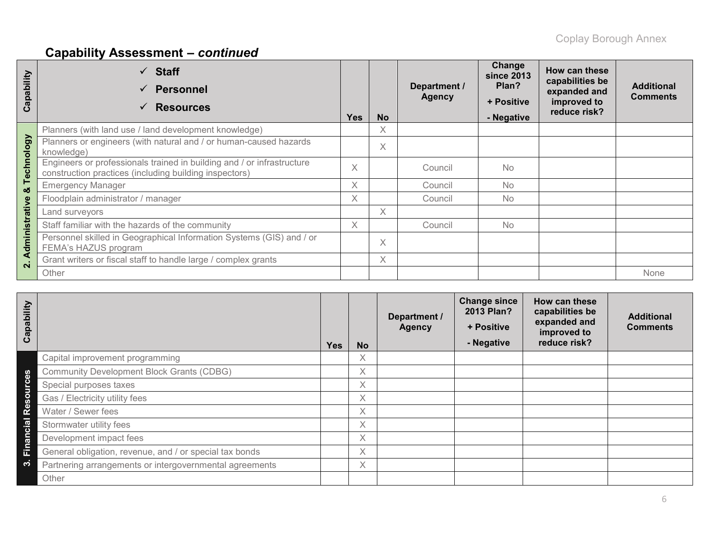# **Capability Assessment –** *continued*

| Capability     | $\checkmark$ Staff<br><b>Personnel</b><br>$\checkmark$<br><b>Resources</b><br>$\checkmark$                                       | <b>Yes</b> | <b>No</b> | Department /<br><b>Agency</b> | Change<br><b>since 2013</b><br>Plan?<br>+ Positive<br>- Negative | How can these<br>capabilities be<br>expanded and<br>improved to<br>reduce risk? | <b>Additional</b><br><b>Comments</b> |
|----------------|----------------------------------------------------------------------------------------------------------------------------------|------------|-----------|-------------------------------|------------------------------------------------------------------|---------------------------------------------------------------------------------|--------------------------------------|
|                | Planners (with land use / land development knowledge)                                                                            |            | X         |                               |                                                                  |                                                                                 |                                      |
|                | Planners or engineers (with natural and / or human-caused hazards<br>knowledge)                                                  |            | X         |                               |                                                                  |                                                                                 |                                      |
| Technology     | Engineers or professionals trained in building and / or infrastructure<br>construction practices (including building inspectors) | X          |           | Council                       | <b>No</b>                                                        |                                                                                 |                                      |
| ఱ              | <b>Emergency Manager</b>                                                                                                         | X          |           | Council                       | <b>No</b>                                                        |                                                                                 |                                      |
|                | Floodplain administrator / manager                                                                                               | X          |           | Council                       | N <sub>o</sub>                                                   |                                                                                 |                                      |
|                | Land surveyors                                                                                                                   |            | X         |                               |                                                                  |                                                                                 |                                      |
|                | Staff familiar with the hazards of the community                                                                                 | X          |           | Council                       | <b>No</b>                                                        |                                                                                 |                                      |
| Administrative | Personnel skilled in Geographical Information Systems (GIS) and / or<br>FEMA's HAZUS program                                     |            | X         |                               |                                                                  |                                                                                 |                                      |
| $\mathbf{N}$   | Grant writers or fiscal staff to handle large / complex grants                                                                   |            | X         |                               |                                                                  |                                                                                 |                                      |
|                | Other                                                                                                                            |            |           |                               |                                                                  |                                                                                 | None                                 |

| Capability         |                                                         | <b>Yes</b> | <b>No</b> | Department /<br><b>Agency</b> | <b>Change since</b><br>2013 Plan?<br>+ Positive<br>- Negative | How can these<br>capabilities be<br>expanded and<br>improved to<br>reduce risk? | <b>Additional</b><br><b>Comments</b> |
|--------------------|---------------------------------------------------------|------------|-----------|-------------------------------|---------------------------------------------------------------|---------------------------------------------------------------------------------|--------------------------------------|
|                    | Capital improvement programming                         |            | Χ         |                               |                                                               |                                                                                 |                                      |
|                    | <b>Community Development Block Grants (CDBG)</b>        |            | X         |                               |                                                               |                                                                                 |                                      |
| Resources          | Special purposes taxes                                  |            | X         |                               |                                                               |                                                                                 |                                      |
|                    | Gas / Electricity utility fees                          |            | Χ         |                               |                                                               |                                                                                 |                                      |
|                    | Water / Sewer fees                                      |            | Χ         |                               |                                                               |                                                                                 |                                      |
|                    | Stormwater utility fees                                 |            | X         |                               |                                                               |                                                                                 |                                      |
| Financial          | Development impact fees                                 |            | $\times$  |                               |                                                               |                                                                                 |                                      |
|                    | General obligation, revenue, and / or special tax bonds |            | Χ         |                               |                                                               |                                                                                 |                                      |
| $\dot{\mathbf{c}}$ | Partnering arrangements or intergovernmental agreements |            | X         |                               |                                                               |                                                                                 |                                      |
|                    | Other                                                   |            |           |                               |                                                               |                                                                                 |                                      |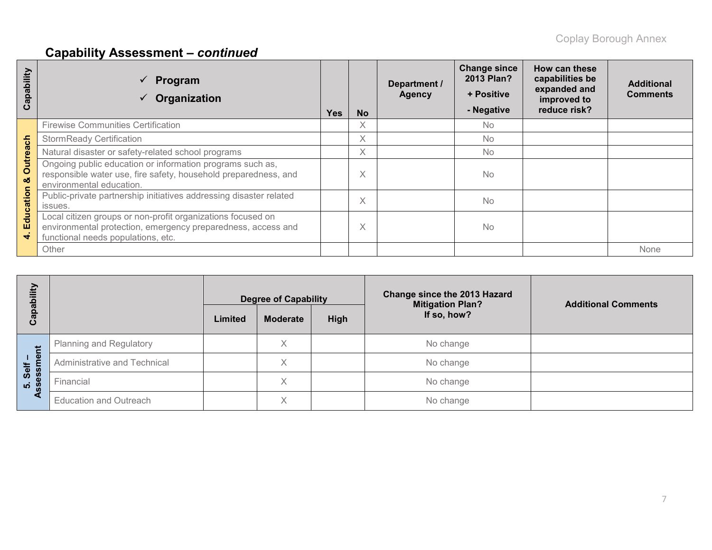# **Capability Assessment –** *continued*

| apability<br>ပ       | Program<br>Organization                                                                                                                                           | <b>Yes</b> | <b>No</b> | Department /<br><b>Agency</b> | <b>Change since</b><br>2013 Plan?<br>+ Positive<br>- Negative | How can these<br>capabilities be<br>expanded and<br>improved to<br>reduce risk? | <b>Additional</b><br><b>Comments</b> |
|----------------------|-------------------------------------------------------------------------------------------------------------------------------------------------------------------|------------|-----------|-------------------------------|---------------------------------------------------------------|---------------------------------------------------------------------------------|--------------------------------------|
|                      | <b>Firewise Communities Certification</b>                                                                                                                         |            | X         |                               | <b>No</b>                                                     |                                                                                 |                                      |
|                      | <b>StormReady Certification</b>                                                                                                                                   |            | X         |                               | <b>No</b>                                                     |                                                                                 |                                      |
|                      | Natural disaster or safety-related school programs                                                                                                                |            | X         |                               | <b>No</b>                                                     |                                                                                 |                                      |
| <b>Outreach</b><br>ಜ | Ongoing public education or information programs such as,<br>responsible water use, fire safety, household preparedness, and<br>environmental education.          |            | X         |                               | No                                                            |                                                                                 |                                      |
| Education            | Public-private partnership initiatives addressing disaster related<br>issues.                                                                                     |            | X         |                               | <b>No</b>                                                     |                                                                                 |                                      |
| $\vec{r}$            | Local citizen groups or non-profit organizations focused on<br>environmental protection, emergency preparedness, access and<br>functional needs populations, etc. |            | Χ         |                               | No                                                            |                                                                                 |                                      |
|                      | Other                                                                                                                                                             |            |           |                               |                                                               |                                                                                 | None                                 |

| bility<br>Capat  |                                | <b>Degree of Capability</b><br>High<br><b>Moderate</b><br>Limited |   |  | <b>Change since the 2013 Hazard</b><br><b>Mitigation Plan?</b><br>If so, how? | <b>Additional Comments</b> |
|------------------|--------------------------------|-------------------------------------------------------------------|---|--|-------------------------------------------------------------------------------|----------------------------|
| せ                | <b>Planning and Regulatory</b> |                                                                   | X |  | No change                                                                     |                            |
| $1 \Phi$<br>Self | Administrative and Technical   |                                                                   | X |  | No change                                                                     |                            |
| ess<br><b>10</b> | Financial                      |                                                                   | X |  | No change                                                                     |                            |
| a                | <b>Education and Outreach</b>  |                                                                   | X |  | No change                                                                     |                            |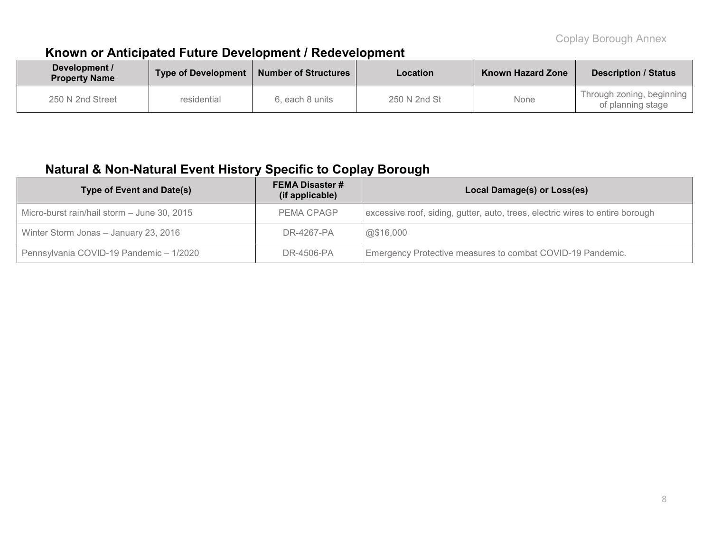### **Known or Anticipated Future Development / Redevelopment**

| Development /<br><b>Property Name</b> | <b>Number of Structures</b><br><b>Type of Development</b> |                 | Location     | <b>Known Hazard Zone</b> | <b>Description / Status</b>                    |
|---------------------------------------|-----------------------------------------------------------|-----------------|--------------|--------------------------|------------------------------------------------|
| 250 N 2nd Street                      | residential                                               | 6. each 8 units | 250 N 2nd St | None                     | Through zoning, beginning<br>of planning stage |

### **Natural & Non-Natural Event History Specific to Coplay Borough**

| Type of Event and Date(s)                   | Local Damage(s) or Loss(es) |                                                                               |  |  |
|---------------------------------------------|-----------------------------|-------------------------------------------------------------------------------|--|--|
| Micro-burst rain/hail storm - June 30, 2015 | PEMA CPAGP                  | excessive roof, siding, gutter, auto, trees, electric wires to entire borough |  |  |
| Winter Storm Jonas - January 23, 2016       | DR-4267-PA                  | @\$16,000                                                                     |  |  |
| Pennsylvania COVID-19 Pandemic - 1/2020     | DR-4506-PA                  | Emergency Protective measures to combat COVID-19 Pandemic.                    |  |  |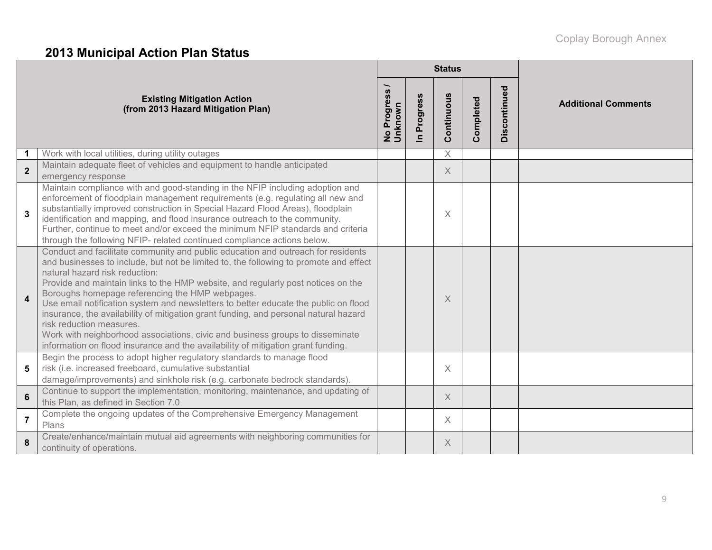# **2013 Municipal Action Plan Status**

|                         |                                                                                                                                                                                                                                                                                                                                                                                                                                                                                                                                                                                                                                                                                                                                    |                                              |                          | <b>Status</b> |           |              |                            |
|-------------------------|------------------------------------------------------------------------------------------------------------------------------------------------------------------------------------------------------------------------------------------------------------------------------------------------------------------------------------------------------------------------------------------------------------------------------------------------------------------------------------------------------------------------------------------------------------------------------------------------------------------------------------------------------------------------------------------------------------------------------------|----------------------------------------------|--------------------------|---------------|-----------|--------------|----------------------------|
|                         | <b>Existing Mitigation Action</b><br>(from 2013 Hazard Mitigation Plan)                                                                                                                                                                                                                                                                                                                                                                                                                                                                                                                                                                                                                                                            | Progress<br>No Progr <del>e</del><br>Unknown | Progress<br>$\mathbf{a}$ | Continuous    | Completed | Discontinued | <b>Additional Comments</b> |
| 1                       | Work with local utilities, during utility outages                                                                                                                                                                                                                                                                                                                                                                                                                                                                                                                                                                                                                                                                                  |                                              |                          | $\times$      |           |              |                            |
| $\overline{2}$          | Maintain adequate fleet of vehicles and equipment to handle anticipated<br>emergency response                                                                                                                                                                                                                                                                                                                                                                                                                                                                                                                                                                                                                                      |                                              |                          | X             |           |              |                            |
| $\overline{\mathbf{3}}$ | Maintain compliance with and good-standing in the NFIP including adoption and<br>enforcement of floodplain management requirements (e.g. regulating all new and<br>substantially improved construction in Special Hazard Flood Areas), floodplain<br>identification and mapping, and flood insurance outreach to the community.<br>Further, continue to meet and/or exceed the minimum NFIP standards and criteria<br>through the following NFIP- related continued compliance actions below.                                                                                                                                                                                                                                      |                                              |                          | X             |           |              |                            |
| $\overline{4}$          | Conduct and facilitate community and public education and outreach for residents<br>and businesses to include, but not be limited to, the following to promote and effect<br>natural hazard risk reduction:<br>Provide and maintain links to the HMP website, and regularly post notices on the<br>Boroughs homepage referencing the HMP webpages.<br>Use email notification system and newsletters to better educate the public on flood<br>insurance, the availability of mitigation grant funding, and personal natural hazard<br>risk reduction measures.<br>Work with neighborhood associations, civic and business groups to disseminate<br>information on flood insurance and the availability of mitigation grant funding. |                                              |                          | X             |           |              |                            |
| 5                       | Begin the process to adopt higher regulatory standards to manage flood<br>risk (i.e. increased freeboard, cumulative substantial<br>damage/improvements) and sinkhole risk (e.g. carbonate bedrock standards).                                                                                                                                                                                                                                                                                                                                                                                                                                                                                                                     |                                              |                          | X             |           |              |                            |
| 6                       | Continue to support the implementation, monitoring, maintenance, and updating of<br>this Plan, as defined in Section 7.0                                                                                                                                                                                                                                                                                                                                                                                                                                                                                                                                                                                                           |                                              |                          | $\times$      |           |              |                            |
| $\overline{7}$          | Complete the ongoing updates of the Comprehensive Emergency Management<br>Plans                                                                                                                                                                                                                                                                                                                                                                                                                                                                                                                                                                                                                                                    |                                              |                          | X             |           |              |                            |
| 8                       | Create/enhance/maintain mutual aid agreements with neighboring communities for<br>continuity of operations.                                                                                                                                                                                                                                                                                                                                                                                                                                                                                                                                                                                                                        |                                              |                          | X             |           |              |                            |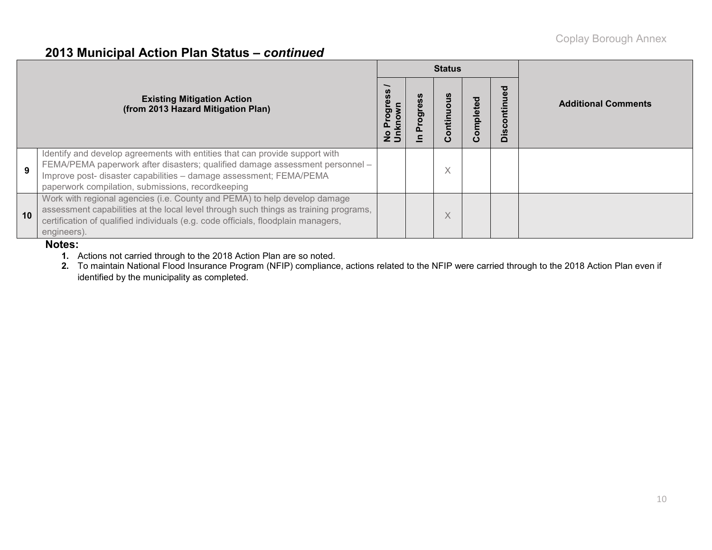### **2013 Municipal Action Plan Status –** *continued*

|    |                                                                                                                                                                                                                                                                                        |         |   | <b>Status</b> |         |              |                            |
|----|----------------------------------------------------------------------------------------------------------------------------------------------------------------------------------------------------------------------------------------------------------------------------------------|---------|---|---------------|---------|--------------|----------------------------|
|    | <b>Existing Mitigation Action</b><br>(from 2013 Hazard Mitigation Plan)                                                                                                                                                                                                                | po<br>m | ත | ី<br>Continuo | omplete | Discontinued | <b>Additional Comments</b> |
| 9  | Identify and develop agreements with entities that can provide support with<br>FEMA/PEMA paperwork after disasters; qualified damage assessment personnel -<br>Improve post- disaster capabilities - damage assessment; FEMA/PEMA<br>paperwork compilation, submissions, recordkeeping |         |   | X             |         |              |                            |
| 10 | Work with regional agencies (i.e. County and PEMA) to help develop damage<br>assessment capabilities at the local level through such things as training programs,<br>certification of qualified individuals (e.g. code officials, floodplain managers,<br>engineers).                  |         |   | X             |         |              |                            |

#### **Notes:**

- **1.** Actions not carried through to the 2018 Action Plan are so noted.
- **2.** To maintain National Flood Insurance Program (NFIP) compliance, actions related to the NFIP were carried through to the 2018 Action Plan even if identified by the municipality as completed.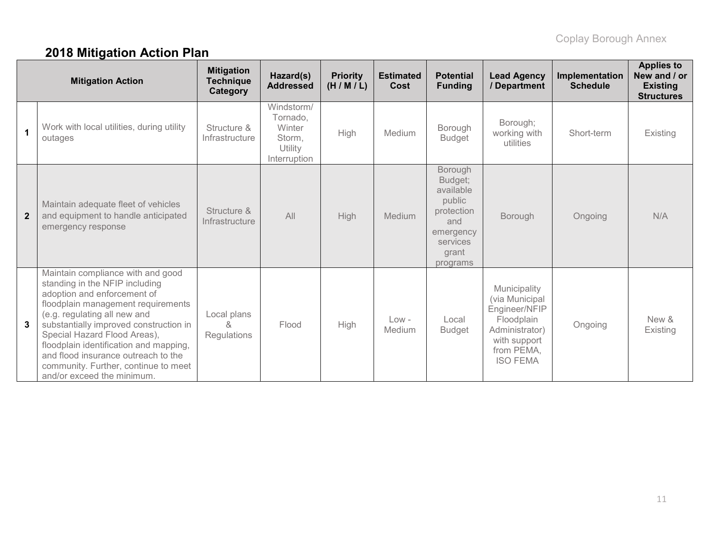# **2018 Mitigation Action Plan**

|                | <b>Mitigation Action</b>                                                                                                                                                                                                                                                                                                                                                                                  | <b>Mitigation</b><br><b>Technique</b><br>Category | Hazard(s)<br><b>Addressed</b>                                         | <b>Priority</b><br>(H/M/L) | <b>Estimated</b><br>Cost | <b>Potential</b><br><b>Funding</b>                                                                           | <b>Lead Agency</b><br>/ Department                                                                                               | Implementation<br><b>Schedule</b> | <b>Applies to</b><br>New and / or<br><b>Existing</b><br><b>Structures</b> |
|----------------|-----------------------------------------------------------------------------------------------------------------------------------------------------------------------------------------------------------------------------------------------------------------------------------------------------------------------------------------------------------------------------------------------------------|---------------------------------------------------|-----------------------------------------------------------------------|----------------------------|--------------------------|--------------------------------------------------------------------------------------------------------------|----------------------------------------------------------------------------------------------------------------------------------|-----------------------------------|---------------------------------------------------------------------------|
| $\mathbf{1}$   | Work with local utilities, during utility<br>outages                                                                                                                                                                                                                                                                                                                                                      | Structure &<br>Infrastructure                     | Windstorm/<br>Tornado,<br>Winter<br>Storm,<br>Utility<br>Interruption | High                       | Medium                   | Borough<br><b>Budget</b>                                                                                     | Borough;<br>working with<br>utilities                                                                                            | Short-term                        | Existing                                                                  |
| $\overline{2}$ | Maintain adequate fleet of vehicles<br>and equipment to handle anticipated<br>emergency response                                                                                                                                                                                                                                                                                                          | Structure &<br>Infrastructure                     | All                                                                   | <b>High</b>                | Medium                   | Borough<br>Budget;<br>available<br>public<br>protection<br>and<br>emergency<br>services<br>grant<br>programs | Borough                                                                                                                          | Ongoing                           | N/A                                                                       |
| 3              | Maintain compliance with and good<br>standing in the NFIP including<br>adoption and enforcement of<br>floodplain management requirements<br>(e.g. regulating all new and<br>substantially improved construction in<br>Special Hazard Flood Areas),<br>floodplain identification and mapping,<br>and flood insurance outreach to the<br>community. Further, continue to meet<br>and/or exceed the minimum. | Local plans<br>&<br>Regulations                   | Flood                                                                 | High                       | $Low -$<br>Medium        | Local<br><b>Budget</b>                                                                                       | Municipality<br>(via Municipal<br>Engineer/NFIP<br>Floodplain<br>Administrator)<br>with support<br>from PEMA,<br><b>ISO FEMA</b> | Ongoing                           | New &<br>Existing                                                         |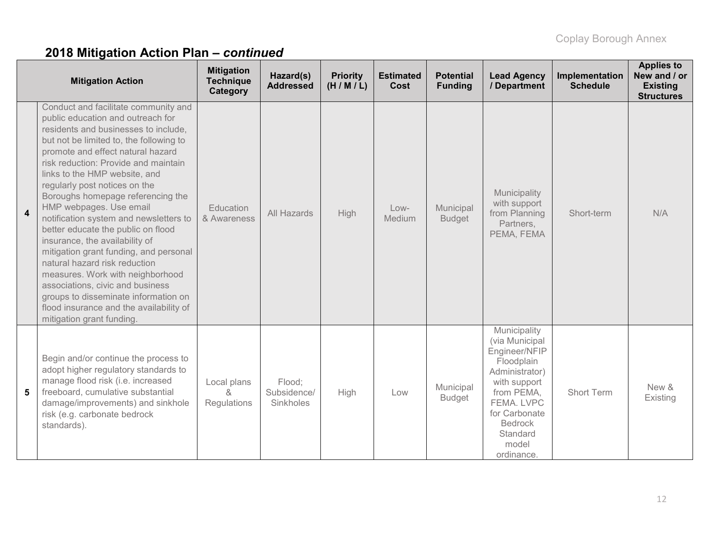# **2018 Mitigation Action Plan –** *continued*

| <b>Mitigation Action</b> |                                                                                                                                                                                                                                                                                                                                                                                                                                                                                                                                                                                                                                                                                                                                                                  | <b>Mitigation</b><br><b>Technique</b><br>Category | Hazard(s)<br><b>Addressed</b>      | <b>Priority</b><br>(H/M/L) | <b>Estimated</b><br>Cost | <b>Potential</b><br><b>Funding</b> | <b>Lead Agency</b><br>/ Department                                                                                                                                                                | Implementation<br><b>Schedule</b> | <b>Applies to</b><br>New and / or<br><b>Existing</b><br><b>Structures</b> |
|--------------------------|------------------------------------------------------------------------------------------------------------------------------------------------------------------------------------------------------------------------------------------------------------------------------------------------------------------------------------------------------------------------------------------------------------------------------------------------------------------------------------------------------------------------------------------------------------------------------------------------------------------------------------------------------------------------------------------------------------------------------------------------------------------|---------------------------------------------------|------------------------------------|----------------------------|--------------------------|------------------------------------|---------------------------------------------------------------------------------------------------------------------------------------------------------------------------------------------------|-----------------------------------|---------------------------------------------------------------------------|
| $\overline{\mathbf{4}}$  | Conduct and facilitate community and<br>public education and outreach for<br>residents and businesses to include,<br>but not be limited to, the following to<br>promote and effect natural hazard<br>risk reduction: Provide and maintain<br>links to the HMP website, and<br>regularly post notices on the<br>Boroughs homepage referencing the<br>HMP webpages. Use email<br>notification system and newsletters to<br>better educate the public on flood<br>insurance, the availability of<br>mitigation grant funding, and personal<br>natural hazard risk reduction<br>measures. Work with neighborhood<br>associations, civic and business<br>groups to disseminate information on<br>flood insurance and the availability of<br>mitigation grant funding. | Education<br>& Awareness                          | All Hazards                        | <b>High</b>                | Low-<br>Medium           | Municipal<br><b>Budget</b>         | Municipality<br>with support<br>from Planning<br>Partners,<br>PEMA, FEMA                                                                                                                          | Short-term                        | N/A                                                                       |
| 5                        | Begin and/or continue the process to<br>adopt higher regulatory standards to<br>manage flood risk (i.e. increased<br>freeboard, cumulative substantial<br>damage/improvements) and sinkhole<br>risk (e.g. carbonate bedrock<br>standards).                                                                                                                                                                                                                                                                                                                                                                                                                                                                                                                       | Local plans<br>$\kappa$<br>Regulations            | Flood;<br>Subsidence/<br>Sinkholes | High                       | Low                      | Municipal<br><b>Budget</b>         | Municipality<br>(via Municipal<br>Engineer/NFIP<br>Floodplain<br>Administrator)<br>with support<br>from PEMA,<br>FEMA. LVPC<br>for Carbonate<br><b>Bedrock</b><br>Standard<br>model<br>ordinance. | <b>Short Term</b>                 | New &<br>Existing                                                         |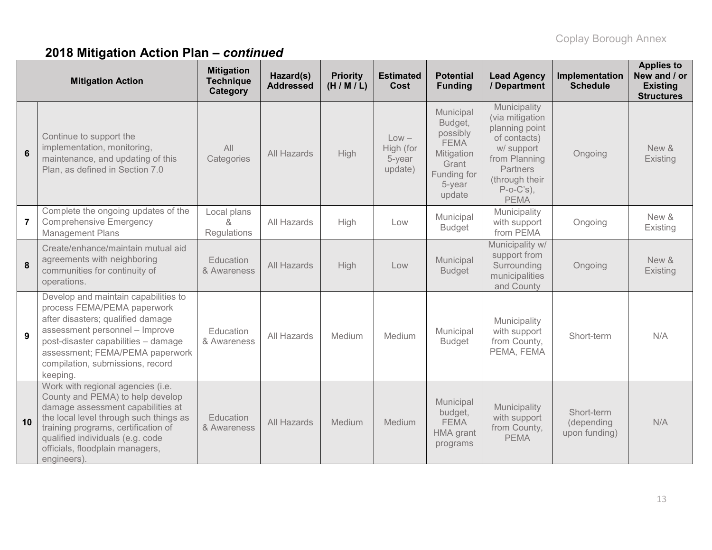# **2018 Mitigation Action Plan –** *continued*

| <b>Mitigation Action</b> |                                                                                                                                                                                                                                                                                   | <b>Mitigation</b><br><b>Technique</b><br>Category | Hazard(s)<br><b>Addressed</b> | <b>Priority</b><br>(H/M/L) | <b>Estimated</b><br>Cost                  | <b>Potential</b><br><b>Funding</b>                                                                        | <b>Lead Agency</b><br>/ Department                                                                                                                                   | Implementation<br><b>Schedule</b>         | <b>Applies to</b><br>New and / or<br><b>Existing</b><br><b>Structures</b> |
|--------------------------|-----------------------------------------------------------------------------------------------------------------------------------------------------------------------------------------------------------------------------------------------------------------------------------|---------------------------------------------------|-------------------------------|----------------------------|-------------------------------------------|-----------------------------------------------------------------------------------------------------------|----------------------------------------------------------------------------------------------------------------------------------------------------------------------|-------------------------------------------|---------------------------------------------------------------------------|
| 6                        | Continue to support the<br>implementation, monitoring,<br>maintenance, and updating of this<br>Plan, as defined in Section 7.0                                                                                                                                                    | All<br>Categories                                 | All Hazards                   | High                       | $Low -$<br>High (for<br>5-year<br>update) | Municipal<br>Budget,<br>possibly<br><b>FEMA</b><br>Mitigation<br>Grant<br>Funding for<br>5-year<br>update | Municipality<br>(via mitigation<br>planning point<br>of contacts)<br>w/ support<br>from Planning<br><b>Partners</b><br>(through their<br>$P-o-C's$ ),<br><b>PEMA</b> | Ongoing                                   | New &<br>Existing                                                         |
| $\overline{7}$           | Complete the ongoing updates of the<br><b>Comprehensive Emergency</b><br><b>Management Plans</b>                                                                                                                                                                                  | Local plans<br>$\alpha$<br>Regulations            | All Hazards                   | High                       | Low                                       | Municipal<br><b>Budget</b>                                                                                | Municipality<br>with support<br>from PEMA                                                                                                                            | Ongoing                                   | New &<br>Existing                                                         |
| 8                        | Create/enhance/maintain mutual aid<br>agreements with neighboring<br>communities for continuity of<br>operations.                                                                                                                                                                 | Education<br>& Awareness                          | All Hazards                   | High                       | Low                                       | Municipal<br><b>Budget</b>                                                                                | Municipality w/<br>support from<br>Surrounding<br>municipalities<br>and County                                                                                       | Ongoing                                   | New &<br>Existing                                                         |
| 9                        | Develop and maintain capabilities to<br>process FEMA/PEMA paperwork<br>after disasters; qualified damage<br>assessment personnel - Improve<br>post-disaster capabilities - damage<br>assessment; FEMA/PEMA paperwork<br>compilation, submissions, record<br>keeping.              | Education<br>& Awareness                          | All Hazards                   | Medium                     | Medium                                    | Municipal<br><b>Budget</b>                                                                                | Municipality<br>with support<br>from County,<br>PEMA, FEMA                                                                                                           | Short-term                                | N/A                                                                       |
| 10                       | Work with regional agencies (i.e.<br>County and PEMA) to help develop<br>damage assessment capabilities at<br>the local level through such things as<br>training programs, certification of<br>qualified individuals (e.g. code<br>officials, floodplain managers,<br>engineers). | Education<br>& Awareness                          | All Hazards                   | Medium                     | Medium                                    | Municipal<br>budget,<br><b>FEMA</b><br>HMA grant<br>programs                                              | Municipality<br>with support<br>from County,<br><b>PEMA</b>                                                                                                          | Short-term<br>(depending<br>upon funding) | N/A                                                                       |